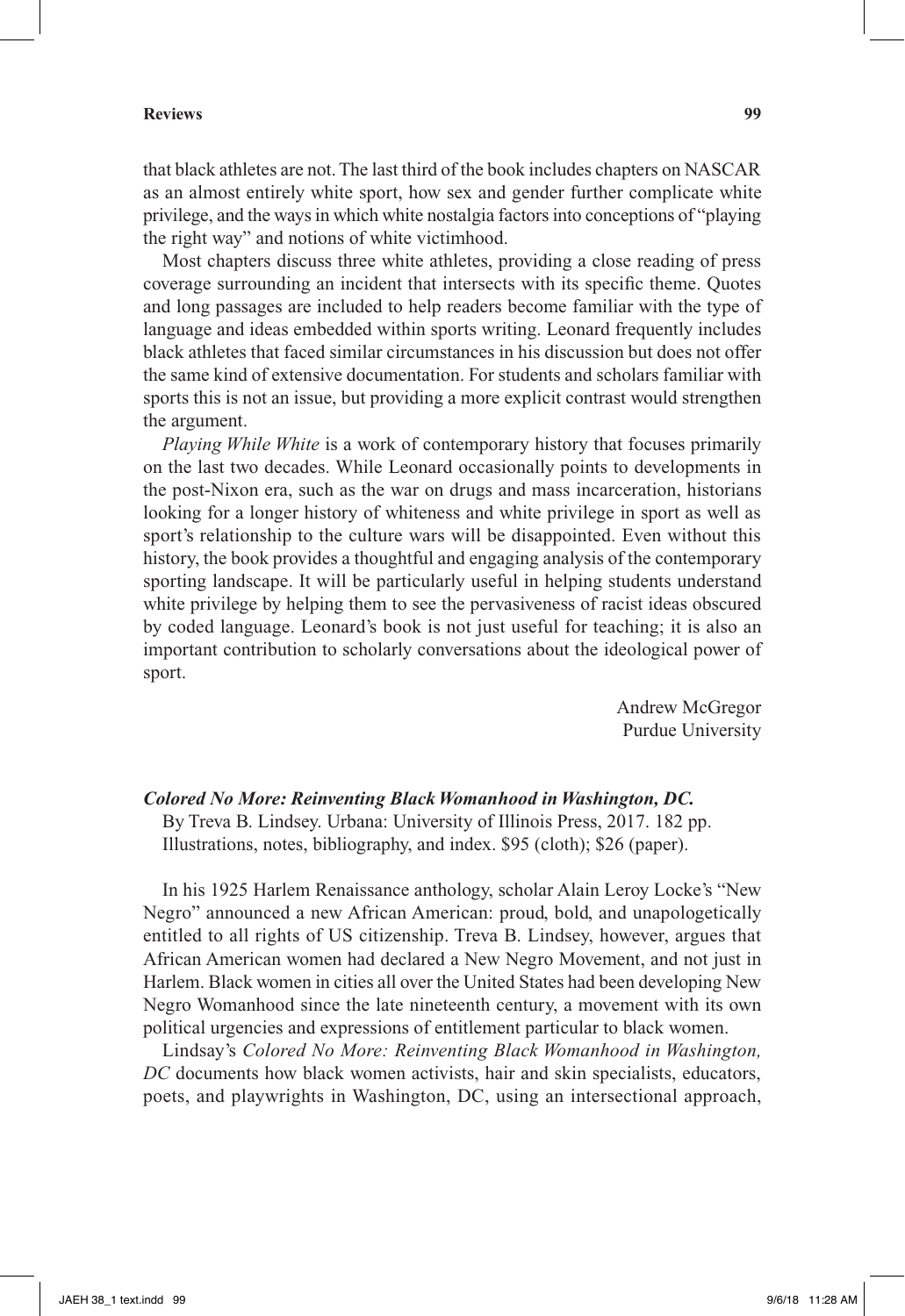## **Reviews 99**

that black athletes are not. The last third of the book includes chapters on NASCAR as an almost entirely white sport, how sex and gender further complicate white privilege, and the ways in which white nostalgia factors into conceptions of "playing the right way" and notions of white victimhood.

Most chapters discuss three white athletes, providing a close reading of press coverage surrounding an incident that intersects with its specific theme. Quotes and long passages are included to help readers become familiar with the type of language and ideas embedded within sports writing. Leonard frequently includes black athletes that faced similar circumstances in his discussion but does not offer the same kind of extensive documentation. For students and scholars familiar with sports this is not an issue, but providing a more explicit contrast would strengthen the argument.

*Playing While White* is a work of contemporary history that focuses primarily on the last two decades. While Leonard occasionally points to developments in the post-Nixon era, such as the war on drugs and mass incarceration, historians looking for a longer history of whiteness and white privilege in sport as well as sport's relationship to the culture wars will be disappointed. Even without this history, the book provides a thoughtful and engaging analysis of the contemporary sporting landscape. It will be particularly useful in helping students understand white privilege by helping them to see the pervasiveness of racist ideas obscured by coded language. Leonard's book is not just useful for teaching; it is also an important contribution to scholarly conversations about the ideological power of sport.

> Andrew McGregor Purdue University

## *Colored No More: Reinventing Black Womanhood in Washington, DC.*

By Treva B. Lindsey. Urbana: University of Illinois Press, 2017. 182 pp. Illustrations, notes, bibliography, and index. \$95 (cloth); \$26 (paper).

In his 1925 Harlem Renaissance anthology, scholar Alain Leroy Locke's "New Negro" announced a new African American: proud, bold, and unapologetically entitled to all rights of US citizenship. Treva B. Lindsey, however, argues that African American women had declared a New Negro Movement, and not just in Harlem. Black women in cities all over the United States had been developing New Negro Womanhood since the late nineteenth century, a movement with its own political urgencies and expressions of entitlement particular to black women.

Lindsay's *Colored No More: Reinventing Black Womanhood in Washington, DC* documents how black women activists, hair and skin specialists, educators, poets, and playwrights in Washington, DC, using an intersectional approach,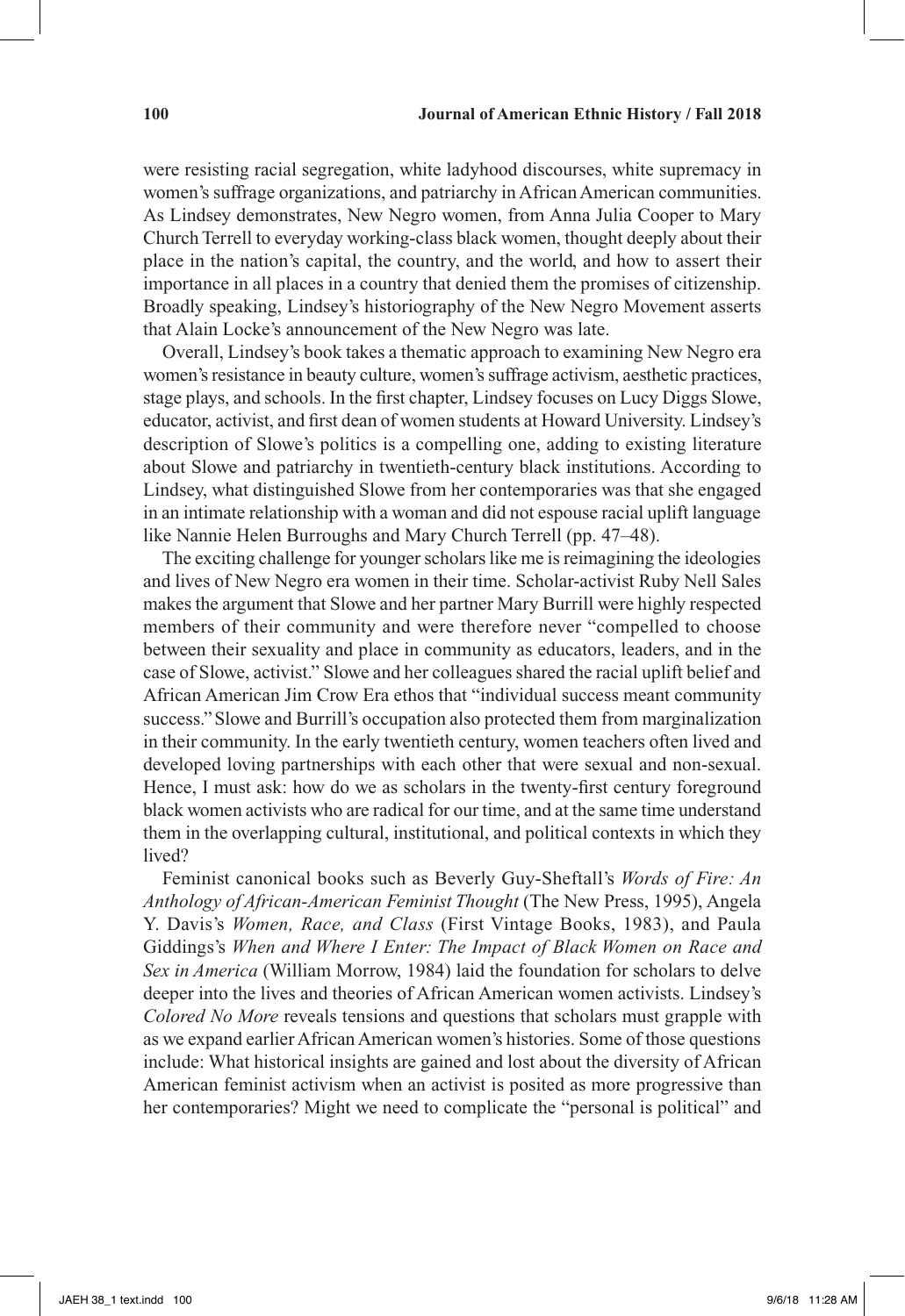were resisting racial segregation, white ladyhood discourses, white supremacy in women's suffrage organizations, and patriarchy in African American communities. As Lindsey demonstrates, New Negro women, from Anna Julia Cooper to Mary Church Terrell to everyday working-class black women, thought deeply about their place in the nation's capital, the country, and the world, and how to assert their importance in all places in a country that denied them the promises of citizenship. Broadly speaking, Lindsey's historiography of the New Negro Movement asserts that Alain Locke's announcement of the New Negro was late.

Overall, Lindsey's book takes a thematic approach to examining New Negro era women's resistance in beauty culture, women's suffrage activism, aesthetic practices, stage plays, and schools. In the first chapter, Lindsey focuses on Lucy Diggs Slowe, educator, activist, and first dean of women students at Howard University. Lindsey's description of Slowe's politics is a compelling one, adding to existing literature about Slowe and patriarchy in twentieth-century black institutions. According to Lindsey, what distinguished Slowe from her contemporaries was that she engaged in an intimate relationship with a woman and did not espouse racial uplift language like Nannie Helen Burroughs and Mary Church Terrell (pp. 47–48).

The exciting challenge for younger scholars like me is reimagining the ideologies and lives of New Negro era women in their time. Scholar-activist Ruby Nell Sales makes the argument that Slowe and her partner Mary Burrill were highly respected members of their community and were therefore never "compelled to choose between their sexuality and place in community as educators, leaders, and in the case of Slowe, activist." Slowe and her colleagues shared the racial uplift belief and African American Jim Crow Era ethos that "individual success meant community success."Slowe and Burrill's occupation also protected them from marginalization in their community. In the early twentieth century, women teachers often lived and developed loving partnerships with each other that were sexual and non-sexual. Hence, I must ask: how do we as scholars in the twenty-first century foreground black women activists who are radical for our time, and at the same time understand them in the overlapping cultural, institutional, and political contexts in which they lived?

Feminist canonical books such as Beverly Guy-Sheftall's *Words of Fire: An Anthology of African-American Feminist Thought* (The New Press, 1995), Angela Y. Davis's *Women, Race, and Class* (First Vintage Books, 1983), and Paula Giddings's *When and Where I Enter: The Impact of Black Women on Race and Sex in America* (William Morrow, 1984) laid the foundation for scholars to delve deeper into the lives and theories of African American women activists. Lindsey's *Colored No More* reveals tensions and questions that scholars must grapple with as we expand earlier African American women's histories. Some of those questions include: What historical insights are gained and lost about the diversity of African American feminist activism when an activist is posited as more progressive than her contemporaries? Might we need to complicate the "personal is political" and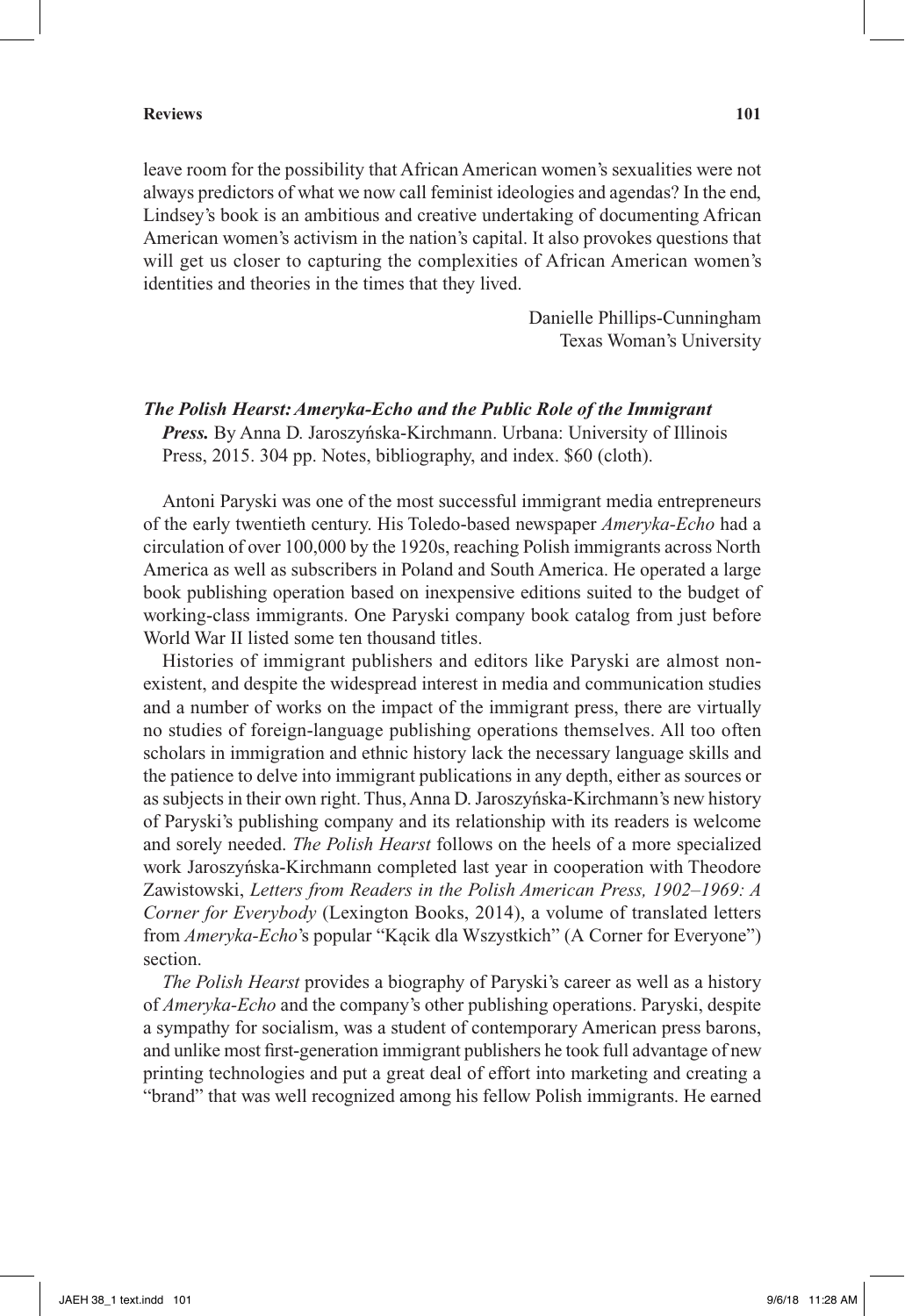leave room for the possibility that African American women's sexualities were not always predictors of what we now call feminist ideologies and agendas? In the end, Lindsey's book is an ambitious and creative undertaking of documenting African American women's activism in the nation's capital. It also provokes questions that will get us closer to capturing the complexities of African American women's identities and theories in the times that they lived.

> Danielle Phillips-Cunningham Texas Woman's University

## *The Polish Hearst: Ameryka-Echo and the Public Role of the Immigrant*

*Press.* By Anna D. Jaroszyńska-Kirchmann. Urbana: University of Illinois Press, 2015. 304 pp. Notes, bibliography, and index. \$60 (cloth).

Antoni Paryski was one of the most successful immigrant media entrepreneurs of the early twentieth century. His Toledo-based newspaper *Ameryka-Echo* had a circulation of over 100,000 by the 1920s, reaching Polish immigrants across North America as well as subscribers in Poland and South America. He operated a large book publishing operation based on inexpensive editions suited to the budget of working-class immigrants. One Paryski company book catalog from just before World War II listed some ten thousand titles.

Histories of immigrant publishers and editors like Paryski are almost nonexistent, and despite the widespread interest in media and communication studies and a number of works on the impact of the immigrant press, there are virtually no studies of foreign-language publishing operations themselves. All too often scholars in immigration and ethnic history lack the necessary language skills and the patience to delve into immigrant publications in any depth, either as sources or as subjects in their own right. Thus, Anna D. Jaroszyńska-Kirchmann's new history of Paryski's publishing company and its relationship with its readers is welcome and sorely needed. *The Polish Hearst* follows on the heels of a more specialized work Jaroszyńska-Kirchmann completed last year in cooperation with Theodore Zawistowski, *Letters from Readers in the Polish American Press, 1902–1969: A Corner for Everybody* (Lexington Books, 2014), a volume of translated letters from *Ameryka-Echo*'s popular "Kącik dla Wszystkich" (A Corner for Everyone") section.

*The Polish Hearst* provides a biography of Paryski's career as well as a history of *Ameryka-Echo* and the company's other publishing operations. Paryski, despite a sympathy for socialism, was a student of contemporary American press barons, and unlike most first-generation immigrant publishers he took full advantage of new printing technologies and put a great deal of effort into marketing and creating a "brand" that was well recognized among his fellow Polish immigrants. He earned